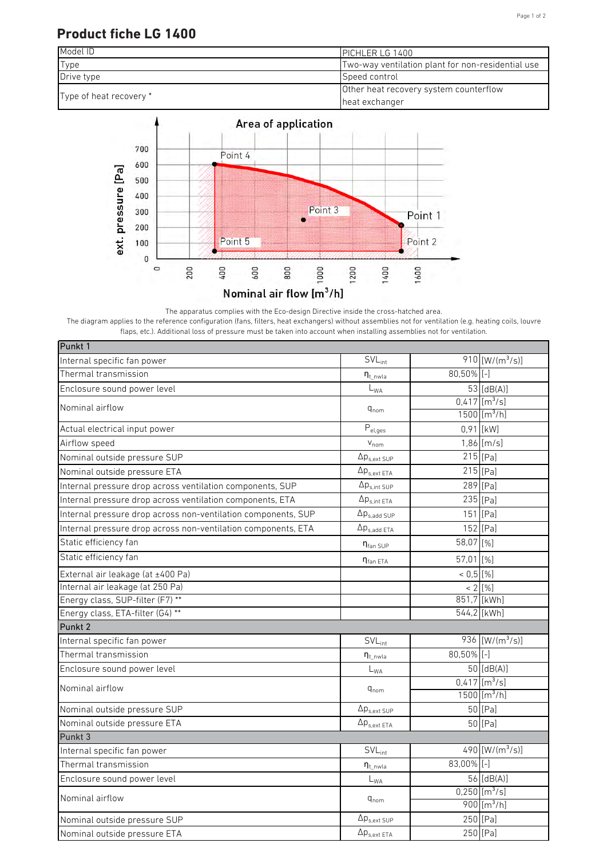## Page 1 of 2

## **Product fiche LG 1400**





The apparatus complies with the Eco-design Directive inside the cross-hatched area. The diagram applies to the reference configuration (fans, filters, heat exchangers) without assemblies not for ventilation (e.g. heating coils, louvre flaps, etc.). Additional loss of pressure must be taken into account when installing assemblies not for ventilation.

| Punkt 1                                                       |                              |               |                             |
|---------------------------------------------------------------|------------------------------|---------------|-----------------------------|
| Internal specific fan power                                   | $\overline{SVL}_{int}$       |               | 910 [W/( $m^3$ /s)]         |
| Thermal transmission                                          | $n_{t\_nwla}$                | $80,50\%$ [-] |                             |
| Enclosure sound power level                                   | $\mathsf{L}_{\mathsf{WA}}$   |               | 53 $[dB(A)]$                |
| Nominal airflow                                               | $q_{nom}$                    |               | $0,417$ [m <sup>3</sup> /s] |
|                                                               |                              |               | $1500$ [m <sup>3</sup> /h]  |
| Actual electrical input power                                 | $\mathsf{P}_{\text{el,ges}}$ |               | $0,91$ [kW]                 |
| Airflow speed                                                 | $V_{nom}$                    |               | $1,86$ [m/s]                |
| Nominal outside pressure SUP                                  | $\Delta p_{s,ext SUP}$       |               | $215$ [Pa]                  |
| Nominal outside pressure ETA                                  | $\Delta p_{s.ext ETA}$       |               | $215$ [Pa]                  |
| Internal pressure drop across ventilation components, SUP     | $\Delta p_{s,int\;SUP}$      |               | 289 [Pa]                    |
| Internal pressure drop across ventilation components, ETA     | $\Delta p_{s,int\;ETA}$      |               | 235 [Pa]                    |
| Internal pressure drop across non-ventilation components, SUP | $\Delta p_{s,add~SUP}$       |               | 151 [Pa]                    |
| Internal pressure drop across non-ventilation components, ETA | $\Delta p_{s,add ETA}$       |               | 152 [Pa]                    |
| Static efficiency fan                                         | $\eta_{\text{fan SUP}}$      | 58,07 [%]     |                             |
| Static efficiency fan                                         | $\eta_{\text{fan ETA}}$      | 57,01 [%]     |                             |
| External air leakage (at ±400 Pa)                             |                              | $< 0.5$ [%]   |                             |
| Internal air leakage (at 250 Pa)                              |                              |               | $\frac{1}{2}$ [%]           |
| Energy class, SUP-filter (F7) **                              |                              |               | 851,7 [kWh]                 |
| Energy class, ETA-filter (G4) **                              |                              |               | 544,2 [kWh]                 |
| Punkt 2                                                       |                              |               |                             |
| Internal specific fan power                                   | $SVL_{int}$                  |               | 936 [W/( $m^3/s$ )]         |
| Thermal transmission                                          | $\eta_{t\_nwla}$             | $80,50\%$ [-] |                             |
| Enclosure sound power level                                   | $\mathsf{L}_{\mathsf{WA}}$   |               | $50$ [dB(A)]                |
| Nominal airflow                                               | $q_{nom}$                    |               | $0,417$ [m <sup>3</sup> /s] |
|                                                               |                              |               | 1500 [ $m^3/h$ ]            |
| Nominal outside pressure SUP                                  | $\Delta p_{s,ext\,SUP}$      |               | 50 [Pa]                     |
| Nominal outside pressure ETA                                  | $\Delta p_{s,ext\;ETA}$      |               | 50 [Pa]                     |
| Punkt 3                                                       |                              |               |                             |
| Internal specific fan power                                   | $SVL_{int}$                  |               | 490 $[W/(m^3/s)]$           |
| Thermal transmission                                          | $\eta_{t\_nwla}$             | 83,00% [-]    |                             |
| Enclosure sound power level                                   | $\mathsf{L}_{\mathsf{WA}}$   |               | $56$ [dB(A)]                |
| Nominal airflow                                               | $q_{nom}$                    |               | $0,250$ [m <sup>3</sup> /s] |
|                                                               |                              |               | $900$ [m <sup>3</sup> /h]   |
| Nominal outside pressure SUP                                  | $\Delta p_{s,ext\,SUP}$      |               | 250 [Pa]                    |
| Nominal outside pressure ETA                                  | $\Delta p_{s,ext ETA}$       |               | 250 [Pa]                    |